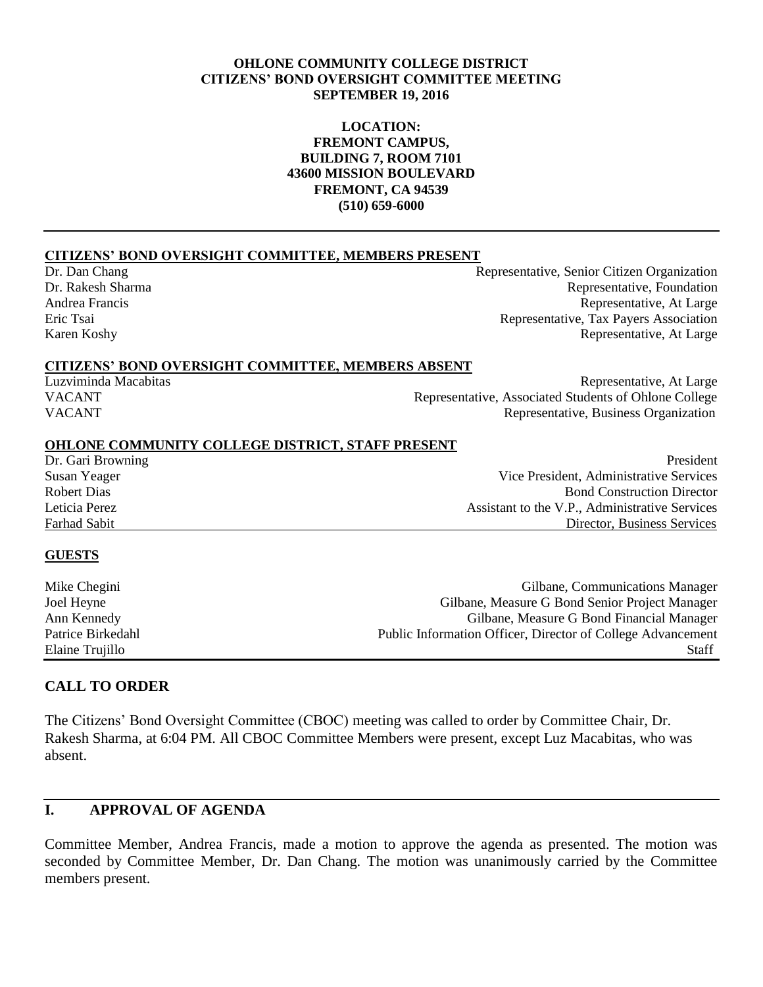#### **OHLONE COMMUNITY COLLEGE DISTRICT CITIZENS' BOND OVERSIGHT COMMITTEE MEETING SEPTEMBER 19, 2016**

#### **LOCATION: FREMONT CAMPUS, BUILDING 7, ROOM 7101 43600 MISSION BOULEVARD FREMONT, CA 94539 (510) 659-6000**

#### **CITIZENS' BOND OVERSIGHT COMMITTEE, MEMBERS PRESENT**

Dr. Dan Chang Representative, Senior Citizen Organization Dr. Rakesh Sharma Representative, Foundation Andrea Francis Representative, At Large Eric Tsai Representative, Tax Payers Association Karen Koshy Representative, At Large

#### **CITIZENS' BOND OVERSIGHT COMMITTEE, MEMBERS ABSENT**

Luzviminda Macabitas Representative, At Large VACANT Representative, Associated Students of Ohlone College VACANT Representative, Business Organization

#### **OHLONE COMMUNITY COLLEGE DISTRICT, STAFF PRESENT**

Dr. Gari Browning President Susan Yeager Vice President, Administrative Services Robert Dias **Bond Construction Director** Leticia Perez Assistant to the V.P., Administrative Services Farhad Sabit Director, Business Services

#### **GUESTS**

| Mike Chegini      | Gilbane, Communications Manager                             |
|-------------------|-------------------------------------------------------------|
| Joel Heyne        | Gilbane, Measure G Bond Senior Project Manager              |
| Ann Kennedy       | Gilbane, Measure G Bond Financial Manager                   |
| Patrice Birkedahl | Public Information Officer, Director of College Advancement |
| Elaine Trujillo   | <b>Staff</b>                                                |

#### **CALL TO ORDER**

The Citizens' Bond Oversight Committee (CBOC) meeting was called to order by Committee Chair, Dr. Rakesh Sharma, at 6:04 PM. All CBOC Committee Members were present, except Luz Macabitas, who was absent.

# **I. APPROVAL OF AGENDA**

Committee Member, Andrea Francis, made a motion to approve the agenda as presented. The motion was seconded by Committee Member, Dr. Dan Chang. The motion was unanimously carried by the Committee members present.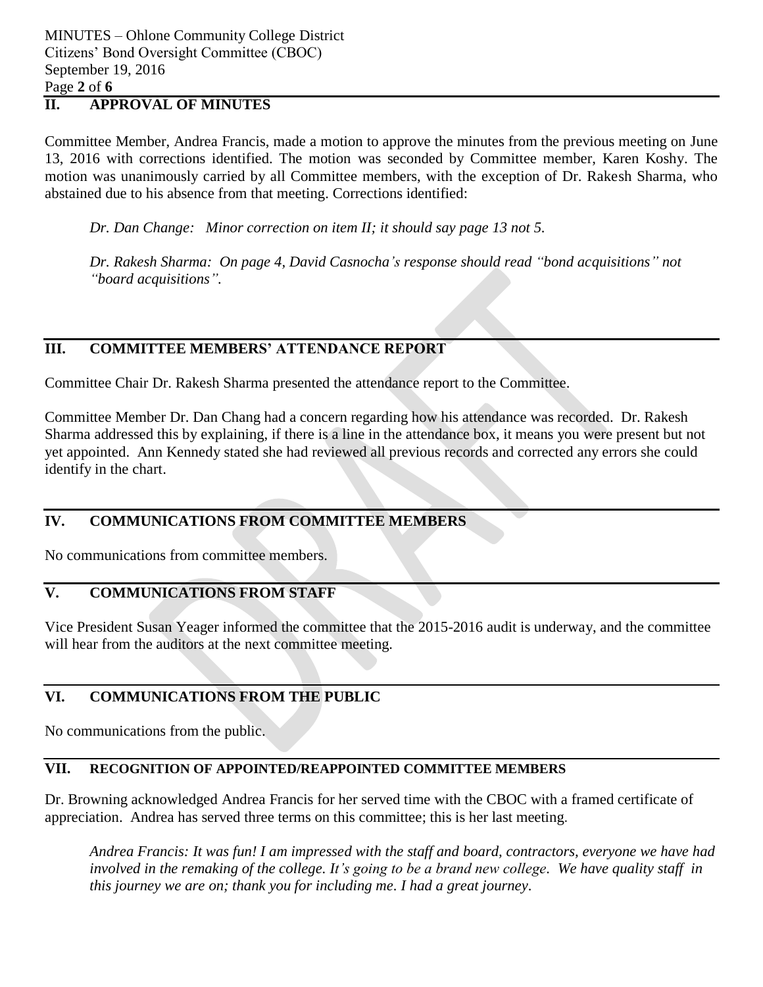MINUTES – Ohlone Community College District Citizens' Bond Oversight Committee (CBOC) September 19, 2016 Page **2** of **6**

# **II. APPROVAL OF MINUTES**

Committee Member, Andrea Francis, made a motion to approve the minutes from the previous meeting on June 13, 2016 with corrections identified. The motion was seconded by Committee member, Karen Koshy. The motion was unanimously carried by all Committee members, with the exception of Dr. Rakesh Sharma, who abstained due to his absence from that meeting. Corrections identified:

*Dr. Dan Change: Minor correction on item II; it should say page 13 not 5.* 

*Dr. Rakesh Sharma: On page 4, David Casnocha's response should read "bond acquisitions" not "board acquisitions".*

# **III. COMMITTEE MEMBERS' ATTENDANCE REPORT**

Committee Chair Dr. Rakesh Sharma presented the attendance report to the Committee.

Committee Member Dr. Dan Chang had a concern regarding how his attendance was recorded. Dr. Rakesh Sharma addressed this by explaining, if there is a line in the attendance box, it means you were present but not yet appointed. Ann Kennedy stated she had reviewed all previous records and corrected any errors she could identify in the chart.

## **IV. COMMUNICATIONS FROM COMMITTEE MEMBERS**

No communications from committee members.

# **V. COMMUNICATIONS FROM STAFF**

Vice President Susan Yeager informed the committee that the 2015-2016 audit is underway, and the committee will hear from the auditors at the next committee meeting.

## **VI. COMMUNICATIONS FROM THE PUBLIC**

No communications from the public.

### **VII. RECOGNITION OF APPOINTED/REAPPOINTED COMMITTEE MEMBERS**

Dr. Browning acknowledged Andrea Francis for her served time with the CBOC with a framed certificate of appreciation. Andrea has served three terms on this committee; this is her last meeting.

*Andrea Francis: It was fun! I am impressed with the staff and board, contractors, everyone we have had involved in the remaking of the college. It's going to be a brand new college. We have quality staff in this journey we are on; thank you for including me. I had a great journey.*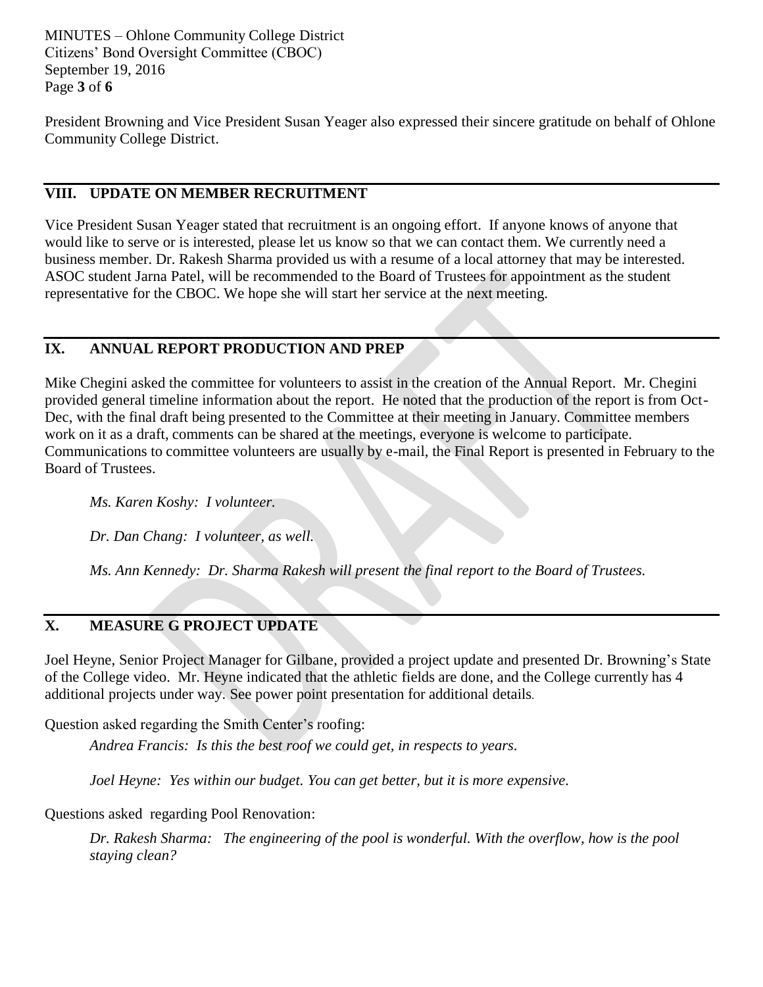MINUTES – Ohlone Community College District Citizens' Bond Oversight Committee (CBOC) September 19, 2016 Page **3** of **6**

President Browning and Vice President Susan Yeager also expressed their sincere gratitude on behalf of Ohlone Community College District.

# **VIII. UPDATE ON MEMBER RECRUITMENT**

Vice President Susan Yeager stated that recruitment is an ongoing effort. If anyone knows of anyone that would like to serve or is interested, please let us know so that we can contact them. We currently need a business member. Dr. Rakesh Sharma provided us with a resume of a local attorney that may be interested. ASOC student Jarna Patel, will be recommended to the Board of Trustees for appointment as the student representative for the CBOC. We hope she will start her service at the next meeting.

# **IX. ANNUAL REPORT PRODUCTION AND PREP**

Mike Chegini asked the committee for volunteers to assist in the creation of the Annual Report. Mr. Chegini provided general timeline information about the report. He noted that the production of the report is from Oct-Dec, with the final draft being presented to the Committee at their meeting in January. Committee members work on it as a draft, comments can be shared at the meetings, everyone is welcome to participate. Communications to committee volunteers are usually by e-mail, the Final Report is presented in February to the Board of Trustees.

*Ms. Karen Koshy: I volunteer.* 

*Dr. Dan Chang: I volunteer, as well.* 

*Ms. Ann Kennedy: Dr. Sharma Rakesh will present the final report to the Board of Trustees.*

### **X. MEASURE G PROJECT UPDATE**

Joel Heyne, Senior Project Manager for Gilbane, provided a project update and presented Dr. Browning's State of the College video. Mr. Heyne indicated that the athletic fields are done, and the College currently has 4 additional projects under way. See power point presentation for additional details.

Question asked regarding the Smith Center's roofing:

*Andrea Francis: Is this the best roof we could get, in respects to years.*

*Joel Heyne: Yes within our budget. You can get better, but it is more expensive.* 

Questions asked regarding Pool Renovation:

*Dr. Rakesh Sharma: The engineering of the pool is wonderful. With the overflow, how is the pool staying clean?*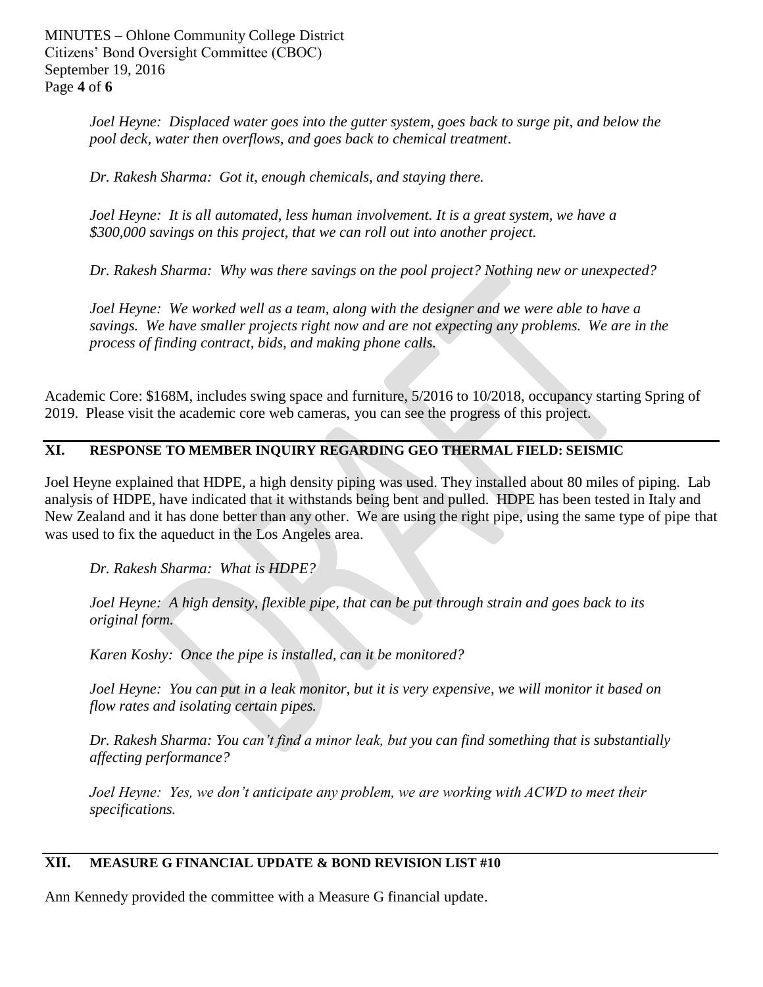MINUTES – Ohlone Community College District Citizens' Bond Oversight Committee (CBOC) September 19, 2016 Page **4** of **6**

> *Joel Heyne: Displaced water goes into the gutter system, goes back to surge pit, and below the pool deck, water then overflows, and goes back to chemical treatment*.

*Dr. Rakesh Sharma: Got it, enough chemicals, and staying there.* 

*Joel Heyne: It is all automated, less human involvement. It is a great system, we have a \$300,000 savings on this project, that we can roll out into another project.* 

*Dr. Rakesh Sharma: Why was there savings on the pool project? Nothing new or unexpected?*

*Joel Heyne: We worked well as a team, along with the designer and we were able to have a savings. We have smaller projects right now and are not expecting any problems. We are in the process of finding contract, bids, and making phone calls.* 

Academic Core: \$168M, includes swing space and furniture, 5/2016 to 10/2018, occupancy starting Spring of 2019. Please visit the academic core web cameras, you can see the progress of this project.

### **XI. RESPONSE TO MEMBER INQUIRY REGARDING GEO THERMAL FIELD: SEISMIC**

Joel Heyne explained that HDPE, a high density piping was used. They installed about 80 miles of piping. Lab analysis of HDPE, have indicated that it withstands being bent and pulled. HDPE has been tested in Italy and New Zealand and it has done better than any other. We are using the right pipe, using the same type of pipe that was used to fix the aqueduct in the Los Angeles area.

*Dr. Rakesh Sharma: What is HDPE?* 

*Joel Heyne: A high density, flexible pipe, that can be put through strain and goes back to its original form.* 

*Karen Koshy: Once the pipe is installed, can it be monitored?* 

*Joel Heyne: You can put in a leak monitor, but it is very expensive, we will monitor it based on flow rates and isolating certain pipes.* 

*Dr. Rakesh Sharma: You can't find a minor leak, but you can find something that is substantially affecting performance?* 

*Joel Heyne: Yes, we don't anticipate any problem, we are working with ACWD to meet their specifications.* 

## **XII. MEASURE G FINANCIAL UPDATE & BOND REVISION LIST #10**

Ann Kennedy provided the committee with a Measure G financial update.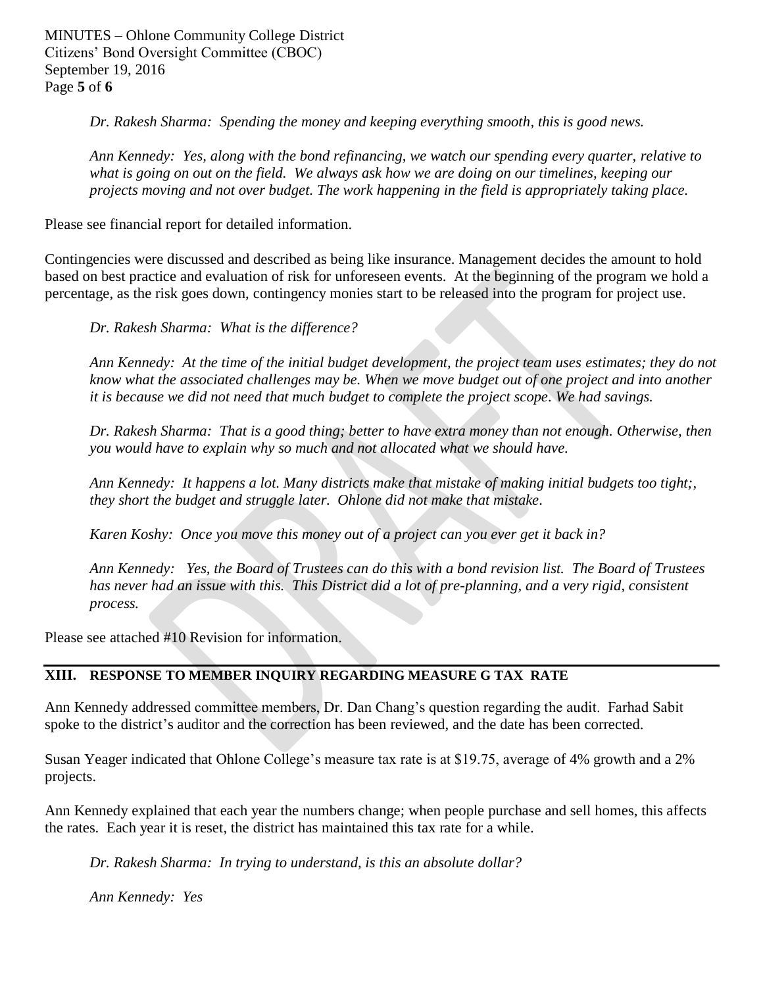MINUTES – Ohlone Community College District Citizens' Bond Oversight Committee (CBOC) September 19, 2016 Page **5** of **6**

*Dr. Rakesh Sharma: Spending the money and keeping everything smooth, this is good news.* 

*Ann Kennedy: Yes, along with the bond refinancing, we watch our spending every quarter, relative to what is going on out on the field. We always ask how we are doing on our timelines, keeping our projects moving and not over budget. The work happening in the field is appropriately taking place.* 

Please see financial report for detailed information.

Contingencies were discussed and described as being like insurance. Management decides the amount to hold based on best practice and evaluation of risk for unforeseen events. At the beginning of the program we hold a percentage, as the risk goes down, contingency monies start to be released into the program for project use.

*Dr. Rakesh Sharma: What is the difference?* 

*Ann Kennedy: At the time of the initial budget development, the project team uses estimates; they do not know what the associated challenges may be. When we move budget out of one project and into another it is because we did not need that much budget to complete the project scope. We had savings.* 

*Dr. Rakesh Sharma: That is a good thing; better to have extra money than not enough. Otherwise, then you would have to explain why so much and not allocated what we should have.* 

*Ann Kennedy: It happens a lot. Many districts make that mistake of making initial budgets too tight;, they short the budget and struggle later. Ohlone did not make that mistake.* 

*Karen Koshy: Once you move this money out of a project can you ever get it back in?* 

*Ann Kennedy: Yes, the Board of Trustees can do this with a bond revision list. The Board of Trustees has never had an issue with this. This District did a lot of pre-planning, and a very rigid, consistent process.* 

Please see attached #10 Revision for information.

### **XIII. RESPONSE TO MEMBER INQUIRY REGARDING MEASURE G TAX RATE**

Ann Kennedy addressed committee members, Dr. Dan Chang's question regarding the audit. Farhad Sabit spoke to the district's auditor and the correction has been reviewed, and the date has been corrected.

Susan Yeager indicated that Ohlone College's measure tax rate is at \$19.75, average of 4% growth and a 2% projects.

Ann Kennedy explained that each year the numbers change; when people purchase and sell homes, this affects the rates. Each year it is reset, the district has maintained this tax rate for a while.

*Dr. Rakesh Sharma: In trying to understand, is this an absolute dollar?* 

*Ann Kennedy: Yes*